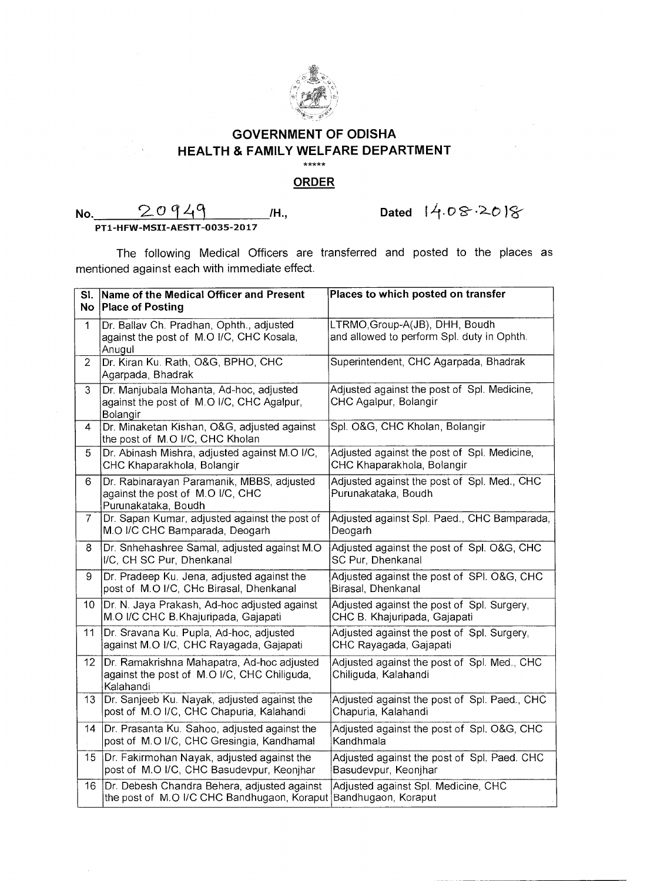

## **GOVERNMENT OF ODISHA HEALTH & FAMILY WELFARE DEPARTMENT**   $*****$

## **ORDER**

## **No. 20949** M., **Dated 14.08.2018** PT1-HFW-MSII-AESTT-0035-2017

The following Medical Officers are transferred and posted to the places as mentioned against each with immediate effect.

| SI.<br><b>No</b> | Name of the Medical Officer and Present<br><b>Place of Posting</b>                                             | Places to which posted on transfer                                           |
|------------------|----------------------------------------------------------------------------------------------------------------|------------------------------------------------------------------------------|
| 1                | Dr. Ballav Ch. Pradhan, Ophth., adjusted<br>against the post of M.O I/C, CHC Kosala,<br>Anugul                 | LTRMO, Group-A(JB), DHH, Boudh<br>and allowed to perform Spl. duty in Ophth. |
| $\overline{2}$   | Dr. Kiran Ku. Rath, O&G, BPHO, CHC<br>Agarpada, Bhadrak                                                        | Superintendent, CHC Agarpada, Bhadrak                                        |
| 3                | Dr. Manjubala Mohanta, Ad-hoc, adjusted<br>against the post of M.O I/C, CHC Agalpur,<br>Bolangir               | Adjusted against the post of Spl. Medicine,<br>CHC Agalpur, Bolangir         |
| 4                | Dr. Minaketan Kishan, O&G, adjusted against<br>the post of M.O I/C, CHC Kholan                                 | Spl. O&G, CHC Kholan, Bolangir                                               |
| 5                | Dr. Abinash Mishra, adjusted against M.O I/C,<br>CHC Khaparakhola, Bolangir                                    | Adjusted against the post of Spl. Medicine,<br>CHC Khaparakhola, Bolangir    |
| 6                | Dr. Rabinarayan Paramanik, MBBS, adjusted<br>against the post of M.O I/C, CHC<br>Purunakataka, Boudh           | Adjusted against the post of Spl. Med., CHC<br>Purunakataka, Boudh           |
| 7                | Dr. Sapan Kumar, adjusted against the post of<br>M.O I/C CHC Bamparada, Deogarh                                | Adjusted against Spl. Paed., CHC Bamparada,<br>Deogarh                       |
| 8                | Dr. Snhehashree Samal, adjusted against M.O.<br>I/C, CH SC Pur, Dhenkanal                                      | Adjusted against the post of Spl. O&G, CHC<br>SC Pur, Dhenkanal              |
| 9                | Dr. Pradeep Ku. Jena, adjusted against the<br>post of M.O I/C, CHc Birasal, Dhenkanal                          | Adjusted against the post of SPI. O&G, CHC<br>Birasal, Dhenkanal             |
| 10               | Dr. N. Jaya Prakash, Ad-hoc adjusted against<br>M.O I/C CHC B.Khajuripada, Gajapati                            | Adjusted against the post of Spl. Surgery,<br>CHC B. Khajuripada, Gajapati   |
| 11               | Dr. Sravana Ku. Pupla, Ad-hoc, adjusted<br>against M.O I/C, CHC Rayagada, Gajapati                             | Adjusted against the post of Spl. Surgery,<br>CHC Rayagada, Gajapati         |
| 12 <sup>°</sup>  | Dr. Ramakrishna Mahapatra, Ad-hoc adjusted<br>against the post of M.O I/C, CHC Chiliguda,<br>Kalahandi         | Adjusted against the post of Spl. Med., CHC<br>Chiliguda, Kalahandi          |
| 13               | Dr. Sanjeeb Ku. Nayak, adjusted against the<br>post of M.O I/C, CHC Chapuria, Kalahandi                        | Adjusted against the post of Spl. Paed., CHC<br>Chapuria, Kalahandi          |
| 14               | Dr. Prasanta Ku. Sahoo, adjusted against the<br>post of M.O I/C, CHC Gresingia, Kandhamal                      | Adjusted against the post of Spl. O&G, CHC<br>Kandhmala                      |
| 15               | Dr. Fakirmohan Nayak, adjusted against the<br>post of M.O I/C, CHC Basudevpur, Keonihar                        | Adjusted against the post of Spl. Paed. CHC<br>Basudevpur, Keonjhar          |
| 16               | Dr. Debesh Chandra Behera, adjusted against<br>the post of M.O I/C CHC Bandhugaon, Koraput Bandhugaon, Koraput | Adjusted against Spl. Medicine, CHC                                          |